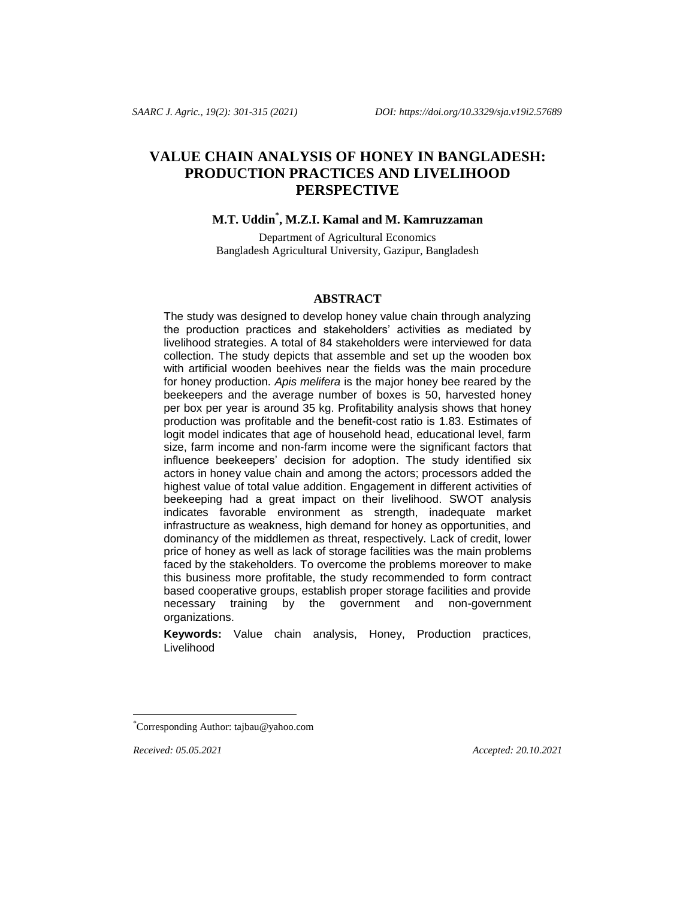# **VALUE CHAIN ANALYSIS OF HONEY IN BANGLADESH: PRODUCTION PRACTICES AND LIVELIHOOD PERSPECTIVE**

## **M.T. Uddin\* , M.Z.I. Kamal and M. Kamruzzaman**

Department of Agricultural Economics Bangladesh Agricultural University, Gazipur, Bangladesh

### **ABSTRACT**

The study was designed to develop honey value chain through analyzing the production practices and stakeholders' activities as mediated by livelihood strategies. A total of 84 stakeholders were interviewed for data collection. The study depicts that assemble and set up the wooden box with artificial wooden beehives near the fields was the main procedure for honey production. *Apis melifera* is the major honey bee reared by the beekeepers and the average number of boxes is 50, harvested honey per box per year is around 35 kg. Profitability analysis shows that honey production was profitable and the benefit-cost ratio is 1.83. Estimates of logit model indicates that age of household head, educational level, farm size, farm income and non-farm income were the significant factors that influence beekeepers' decision for adoption. The study identified six actors in honey value chain and among the actors; processors added the highest value of total value addition. Engagement in different activities of beekeeping had a great impact on their livelihood. SWOT analysis indicates favorable environment as strength, inadequate market infrastructure as weakness, high demand for honey as opportunities, and dominancy of the middlemen as threat, respectively. Lack of credit, lower price of honey as well as lack of storage facilities was the main problems faced by the stakeholders. To overcome the problems moreover to make this business more profitable, the study recommended to form contract based cooperative groups, establish proper storage facilities and provide necessary training by the government and non-government organizations.

**Keywords:** Value chain analysis, Honey, Production practices, Livelihood

l

*Received: 05.05.2021 Accepted: 20.10.2021*

<sup>\*</sup>Corresponding Author[: tajbau@yahoo.com](mailto:tajbau@yahoo.com)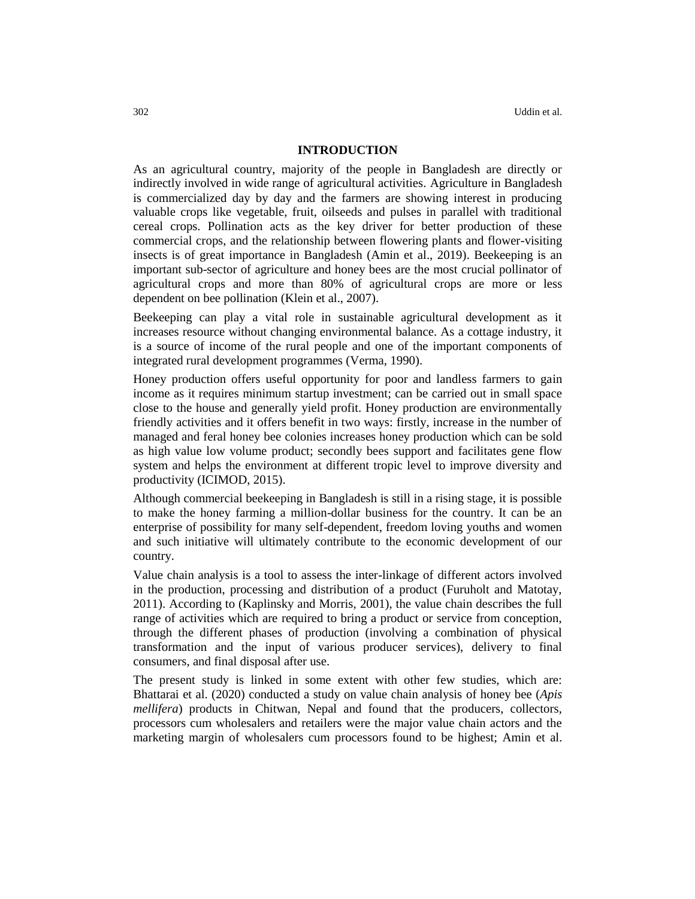## **INTRODUCTION**

As an agricultural country, majority of the people in Bangladesh are directly or indirectly involved in wide range of agricultural activities. Agriculture in Bangladesh is commercialized day by day and the farmers are showing interest in producing valuable crops like vegetable, fruit, oilseeds and pulses in parallel with traditional cereal crops. Pollination acts as the key driver for better production of these commercial crops, and the relationship between flowering plants and flower-visiting insects is of great importance in Bangladesh (Amin et al., 2019). Beekeeping is an important sub-sector of agriculture and honey bees are the most crucial pollinator of agricultural crops and more than 80% of agricultural crops are more or less dependent on bee pollination (Klein et al., 2007).

Beekeeping can play a vital role in sustainable agricultural development as it increases resource without changing environmental balance. As a cottage industry, it is a source of income of the rural people and one of the important components of integrated rural development programmes (Verma, 1990).

Honey production offers useful opportunity for poor and landless farmers to gain income as it requires minimum startup investment; can be carried out in small space close to the house and generally yield profit. Honey production are environmentally friendly activities and it offers benefit in two ways: firstly, increase in the number of managed and feral honey bee colonies increases honey production which can be sold as high value low volume product; secondly bees support and facilitates gene flow system and helps the environment at different tropic level to improve diversity and productivity (ICIMOD, 2015).

Although commercial beekeeping in Bangladesh is still in a rising stage, it is possible to make the honey farming a million-dollar business for the country. It can be an enterprise of possibility for many self-dependent, freedom loving youths and women and such initiative will ultimately contribute to the economic development of our country.

Value chain analysis is a tool to assess the inter-linkage of different actors involved in the production, processing and distribution of a product (Furuholt and Matotay, 2011). According to (Kaplinsky and Morris, 2001), the value chain describes the full range of activities which are required to bring a product or service from conception, through the different phases of production (involving a combination of physical transformation and the input of various producer services), delivery to final consumers, and final disposal after use.

The present study is linked in some extent with other few studies, which are: Bhattarai et al. (2020) conducted a study on value chain analysis of honey bee (*Apis mellifera*) products in Chitwan, Nepal and found that the producers, collectors, processors cum wholesalers and retailers were the major value chain actors and the marketing margin of wholesalers cum processors found to be highest; Amin et al.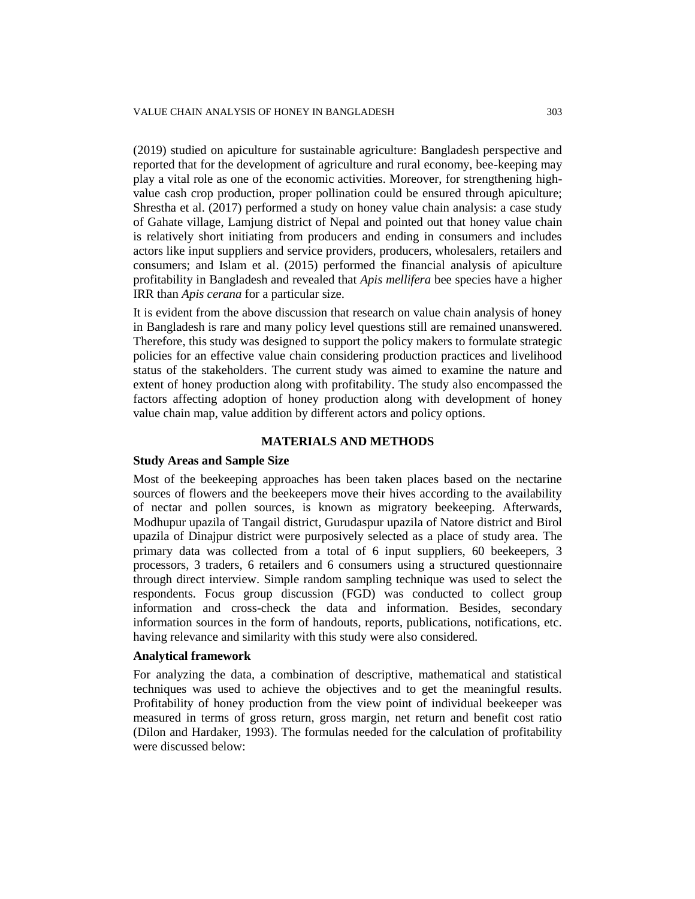(2019) studied on apiculture for sustainable agriculture: Bangladesh perspective and reported that for the development of agriculture and rural economy, bee-keeping may play a vital role as one of the economic activities. Moreover, for strengthening highvalue cash crop production, proper pollination could be ensured through apiculture; Shrestha et al. (2017) performed a study on honey value chain analysis: a case study of Gahate village, Lamjung district of Nepal and pointed out that honey value chain is relatively short initiating from producers and ending in consumers and includes actors like input suppliers and service providers, producers, wholesalers, retailers and consumers; and Islam et al. (2015) performed the financial analysis of apiculture profitability in Bangladesh and revealed that *Apis mellifera* bee species have a higher IRR than *Apis cerana* for a particular size.

It is evident from the above discussion that research on value chain analysis of honey in Bangladesh is rare and many policy level questions still are remained unanswered. Therefore, this study was designed to support the policy makers to formulate strategic policies for an effective value chain considering production practices and livelihood status of the stakeholders. The current study was aimed to examine the nature and extent of honey production along with profitability. The study also encompassed the factors affecting adoption of honey production along with development of honey value chain map, value addition by different actors and policy options.

#### **MATERIALS AND METHODS**

#### **Study Areas and Sample Size**

Most of the beekeeping approaches has been taken places based on the nectarine sources of flowers and the beekeepers move their hives according to the availability of nectar and pollen sources, is known as migratory beekeeping. Afterwards, Modhupur upazila of Tangail district, Gurudaspur upazila of Natore district and Birol upazila of Dinajpur district were purposively selected as a place of study area. The primary data was collected from a total of 6 input suppliers, 60 beekeepers, 3 processors, 3 traders, 6 retailers and 6 consumers using a structured questionnaire through direct interview. Simple random sampling technique was used to select the respondents. Focus group discussion (FGD) was conducted to collect group information and cross-check the data and information. Besides, secondary information sources in the form of handouts, reports, publications, notifications, etc. having relevance and similarity with this study were also considered.

### **Analytical framework**

For analyzing the data, a combination of descriptive, mathematical and statistical techniques was used to achieve the objectives and to get the meaningful results. Profitability of honey production from the view point of individual beekeeper was measured in terms of gross return, gross margin, net return and benefit cost ratio (Dilon and Hardaker, 1993). The formulas needed for the calculation of profitability were discussed below: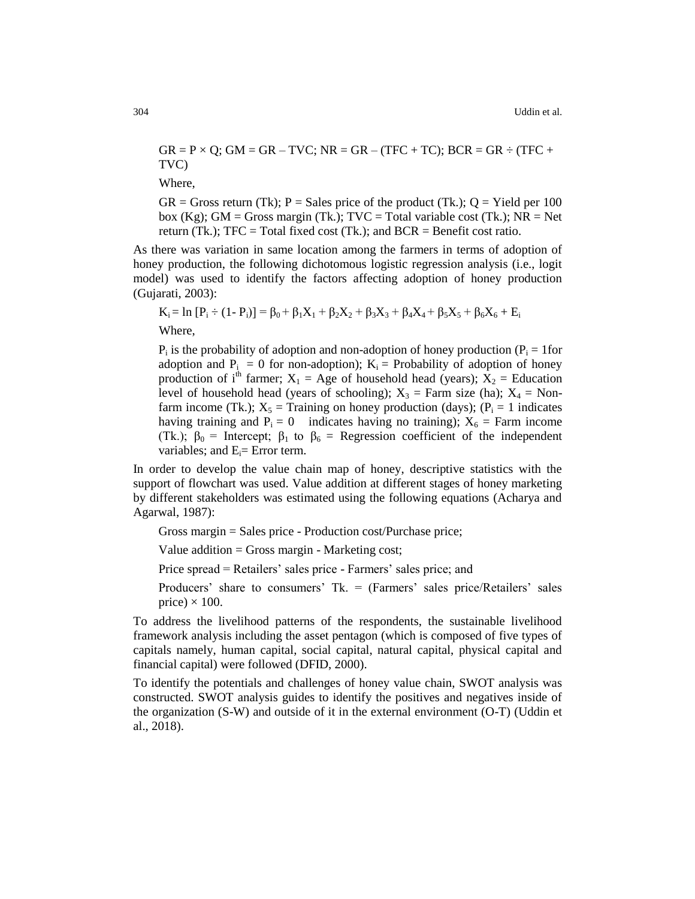$GR = P \times Q$ ;  $GM = GR - TVC$ ;  $NR = GR - (TFC + TC)$ ;  $BCR = GR - (TFC + TC)$ TVC)

Where,

 $GR = Gross$  return (Tk); P = Sales price of the product (Tk.); Q = Yield per 100 box (Kg); GM = Gross margin (Tk.);  $TVC = Total variable cost (Tk.); NR = Net$ return (Tk.);  $TFC = Total fixed cost (Tk.);$  and  $BCR = Benefit cost ratio.$ 

As there was variation in same location among the farmers in terms of adoption of honey production, the following dichotomous logistic regression analysis (i.e., logit model) was used to identify the factors affecting adoption of honey production (Gujarati, 2003):

$$
K_i = \ln [P_i \div (1 - P_i)] = \beta_0 + \beta_1 X_1 + \beta_2 X_2 + \beta_3 X_3 + \beta_4 X_4 + \beta_5 X_5 + \beta_6 X_6 + E_i
$$

Where,

 $P_i$  is the probability of adoption and non-adoption of honey production ( $P_i = 1$  for adoption and  $P_i = 0$  for non-adoption);  $K_i =$  Probability of adoption of honey production of i<sup>th</sup> farmer;  $X_1$  = Age of household head (years);  $X_2$  = Education level of household head (years of schooling);  $X_3$  = Farm size (ha);  $X_4$  = Nonfarm income (Tk.);  $X_5$  = Training on honey production (days); ( $P_i$  = 1 indicates having training and  $P_i = 0$  indicates having no training);  $X_6$  = Farm income (Tk.);  $\beta_0$  = Intercept;  $\beta_1$  to  $\beta_6$  = Regression coefficient of the independent variables; and  $E_i =$  Error term.

In order to develop the value chain map of honey, descriptive statistics with the support of flowchart was used. Value addition at different stages of honey marketing by different stakeholders was estimated using the following equations (Acharya and Agarwal, 1987):

Gross margin = Sales price - Production cost/Purchase price;

Value addition  $=$  Gross margin - Marketing cost;

Price spread = Retailers' sales price - Farmers' sales price; and

Producers' share to consumers' Tk. = (Farmers' sales price/Retailers' sales price)  $\times$  100.

To address the livelihood patterns of the respondents, the sustainable livelihood framework analysis including the asset pentagon (which is composed of five types of capitals namely, human capital, social capital, natural capital, physical capital and financial capital) were followed (DFID, 2000).

To identify the potentials and challenges of honey value chain, SWOT analysis was constructed. SWOT analysis guides to identify the positives and negatives inside of the organization (S-W) and outside of it in the external environment (O-T) (Uddin et al., 2018).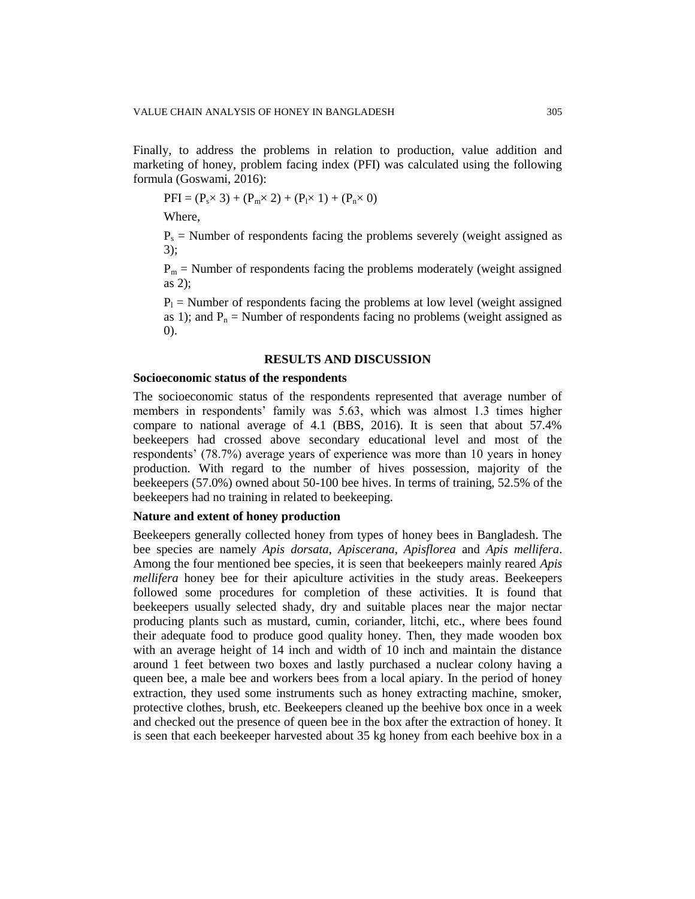Finally, to address the problems in relation to production, value addition and marketing of honey, problem facing index (PFI) was calculated using the following formula (Goswami, 2016):

$$
PFI = (P_s \times 3) + (P_m \times 2) + (P_l \times 1) + (P_n \times 0)
$$

Where,

 $P_s$  = Number of respondents facing the problems severely (weight assigned as 3);

 $P_m$  = Number of respondents facing the problems moderately (weight assigned as 2);

 $P_1$  = Number of respondents facing the problems at low level (weight assigned as 1); and  $P_n$  = Number of respondents facing no problems (weight assigned as 0).

#### **RESULTS AND DISCUSSION**

### **Socioeconomic status of the respondents**

The socioeconomic status of the respondents represented that average number of members in respondents' family was 5.63, which was almost 1.3 times higher compare to national average of 4.1 (BBS, 2016). It is seen that about 57.4% beekeepers had crossed above secondary educational level and most of the respondents' (78.7%) average years of experience was more than 10 years in honey production. With regard to the number of hives possession, majority of the beekeepers (57.0%) owned about 50-100 bee hives. In terms of training, 52.5% of the beekeepers had no training in related to beekeeping.

### **Nature and extent of honey production**

Beekeepers generally collected honey from types of honey bees in Bangladesh. The bee species are namely *Apis dorsata*, *Apiscerana*, *Apisflorea* and *Apis mellifera*. Among the four mentioned bee species, it is seen that beekeepers mainly reared *Apis mellifera* honey bee for their apiculture activities in the study areas. Beekeepers followed some procedures for completion of these activities. It is found that beekeepers usually selected shady, dry and suitable places near the major nectar producing plants such as mustard, cumin, coriander, litchi, etc., where bees found their adequate food to produce good quality honey. Then, they made wooden box with an average height of 14 inch and width of 10 inch and maintain the distance around 1 feet between two boxes and lastly purchased a nuclear colony having a queen bee, a male bee and workers bees from a local apiary. In the period of honey extraction, they used some instruments such as honey extracting machine, smoker, protective clothes, brush, etc. Beekeepers cleaned up the beehive box once in a week and checked out the presence of queen bee in the box after the extraction of honey. It is seen that each beekeeper harvested about 35 kg honey from each beehive box in a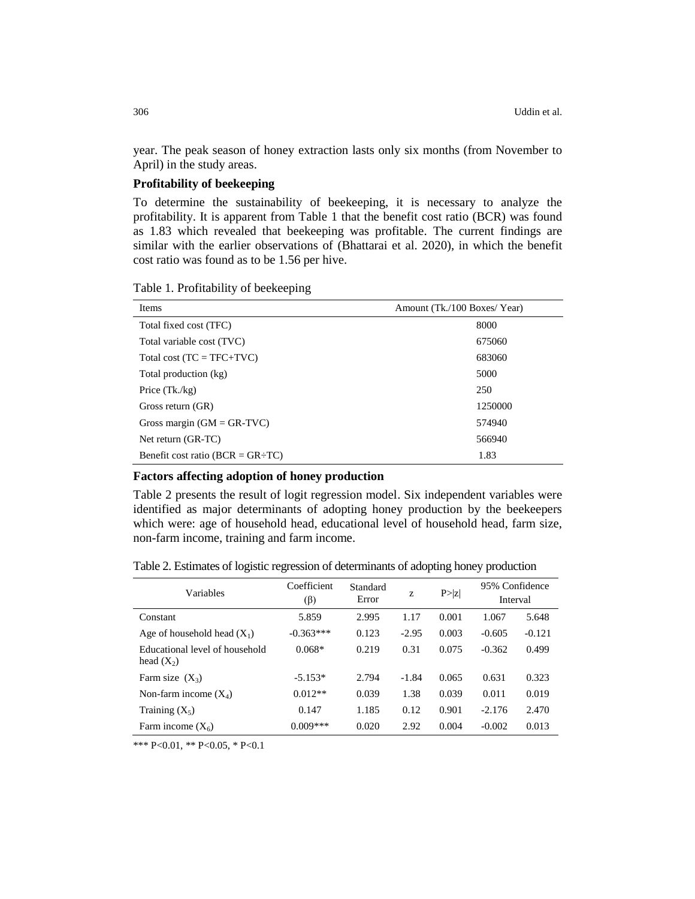year. The peak season of honey extraction lasts only six months (from November to April) in the study areas.

## **Profitability of beekeeping**

To determine the sustainability of beekeeping, it is necessary to analyze the profitability. It is apparent from Table 1 that the benefit cost ratio (BCR) was found as 1.83 which revealed that beekeeping was profitable. The current findings are similar with the earlier observations of (Bhattarai et al. 2020), in which the benefit cost ratio was found as to be 1.56 per hive.

Table 1. Profitability of beekeeping

| Items                                  | Amount (Tk./100 Boxes/Year) |
|----------------------------------------|-----------------------------|
| Total fixed cost (TFC)                 | 8000                        |
| Total variable cost (TVC)              | 675060                      |
| Total cost $(TC = TFC+TVC)$            | 683060                      |
| Total production (kg)                  | 5000                        |
| Price $(Tk./kg)$                       | 250                         |
| Gross return (GR)                      | 1250000                     |
| Gross margin $(GM = GR-TVC)$           | 574940                      |
| Net return (GR-TC)                     | 566940                      |
| Benefit cost ratio ( $BCR = GR + TC$ ) | 1.83                        |

## **Factors affecting adoption of honey production**

Table 2 presents the result of logit regression model. Six independent variables were identified as major determinants of adopting honey production by the beekeepers which were: age of household head, educational level of household head, farm size, non-farm income, training and farm income.

Table 2. Estimates of logistic regression of determinants of adopting honey production

| Variables                                      | Coefficient | Standard | Z       | P >  z | 95% Confidence |          |  |
|------------------------------------------------|-------------|----------|---------|--------|----------------|----------|--|
|                                                | $(\beta)$   | Error    |         |        |                | Interval |  |
| Constant                                       | 5.859       | 2.995    | 1.17    | 0.001  | 1.067          | 5.648    |  |
| Age of household head $(X_1)$                  | $-0.363***$ | 0.123    | $-2.95$ | 0.003  | $-0.605$       | $-0.121$ |  |
| Educational level of household<br>head $(X_2)$ | $0.068*$    | 0.219    | 0.31    | 0.075  | $-0.362$       | 0.499    |  |
| Farm size $(X_3)$                              | $-5.153*$   | 2.794    | $-1.84$ | 0.065  | 0.631          | 0.323    |  |
| Non-farm income $(X_4)$                        | $0.012**$   | 0.039    | 1.38    | 0.039  | 0.011          | 0.019    |  |
| Training $(X_5)$                               | 0.147       | 1.185    | 0.12    | 0.901  | $-2.176$       | 2.470    |  |
| Farm income $(X_6)$                            | $0.009***$  | 0.020    | 2.92    | 0.004  | $-0.002$       | 0.013    |  |

\*\*\* P<0.01, \*\* P<0.05, \* P<0.1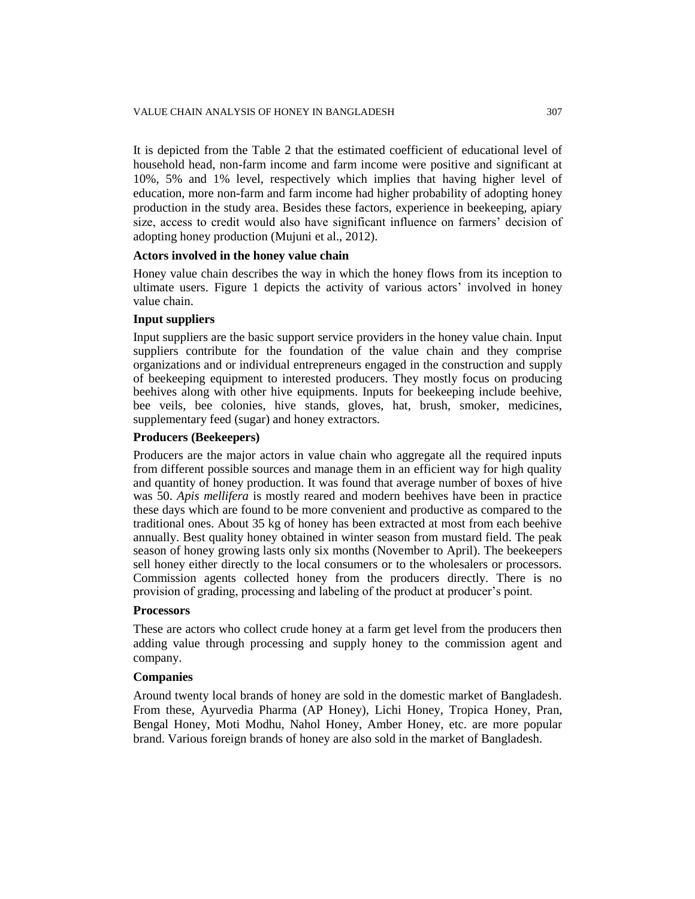It is depicted from the Table 2 that the estimated coefficient of educational level of household head, non-farm income and farm income were positive and significant at 10%, 5% and 1% level, respectively which implies that having higher level of education, more non-farm and farm income had higher probability of adopting honey production in the study area. Besides these factors, experience in beekeeping, apiary size, access to credit would also have significant influence on farmers' decision of adopting honey production (Mujuni et al., 2012).

## **Actors involved in the honey value chain**

Honey value chain describes the way in which the honey flows from its inception to ultimate users. Figure 1 depicts the activity of various actors' involved in honey value chain.

## **Input suppliers**

Input suppliers are the basic support service providers in the honey value chain. Input suppliers contribute for the foundation of the value chain and they comprise organizations and or individual entrepreneurs engaged in the construction and supply of beekeeping equipment to interested producers. They mostly focus on producing beehives along with other hive equipments. Inputs for beekeeping include beehive, bee veils, bee colonies, hive stands, gloves, hat, brush, smoker, medicines, supplementary feed (sugar) and honey extractors.

## **Producers (Beekeepers)**

Producers are the major actors in value chain who aggregate all the required inputs from different possible sources and manage them in an efficient way for high quality and quantity of honey production. It was found that average number of boxes of hive was 50. *Apis mellifera* is mostly reared and modern beehives have been in practice these days which are found to be more convenient and productive as compared to the traditional ones. About 35 kg of honey has been extracted at most from each beehive annually. Best quality honey obtained in winter season from mustard field. The peak season of honey growing lasts only six months (November to April). The beekeepers sell honey either directly to the local consumers or to the wholesalers or processors. Commission agents collected honey from the producers directly. There is no provision of grading, processing and labeling of the product at producer's point.

#### **Processors**

These are actors who collect crude honey at a farm get level from the producers then adding value through processing and supply honey to the commission agent and company.

## **Companies**

Around twenty local brands of honey are sold in the domestic market of Bangladesh. From these, Ayurvedia Pharma (AP Honey), Lichi Honey, Tropica Honey, Pran, Bengal Honey, Moti Modhu, Nahol Honey, Amber Honey, etc. are more popular brand. Various foreign brands of honey are also sold in the market of Bangladesh.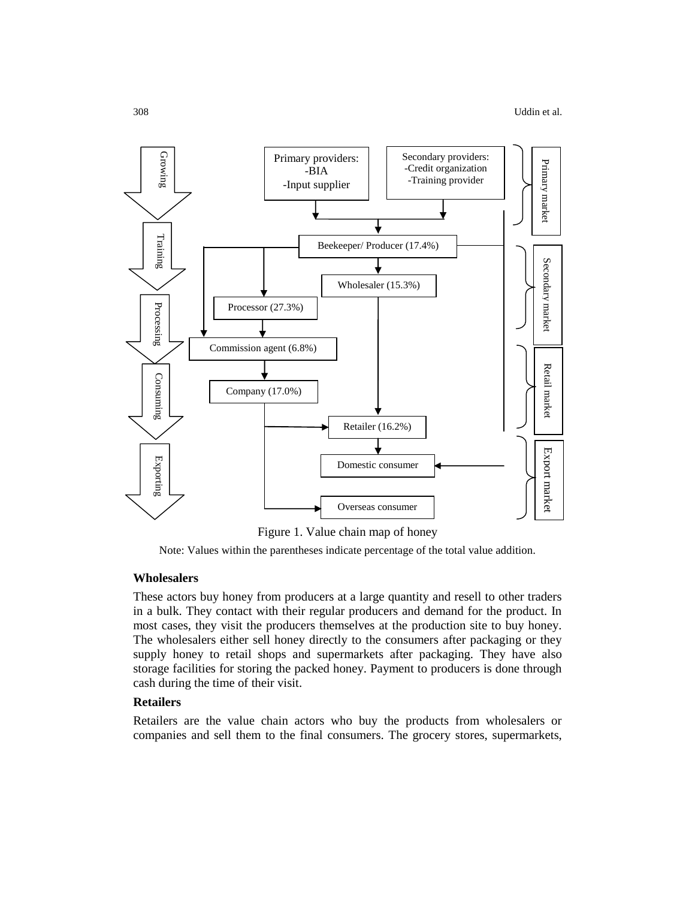

Figure 1. Value chain map of honey

Note: Values within the parentheses indicate percentage of the total value addition.

#### **Wholesalers**

These actors buy honey from producers at a large quantity and resell to other traders in a bulk. They contact with their regular producers and demand for the product. In most cases, they visit the producers themselves at the production site to buy honey. The wholesalers either sell honey directly to the consumers after packaging or they supply honey to retail shops and supermarkets after packaging. They have also storage facilities for storing the packed honey. Payment to producers is done through cash during the time of their visit.

## **Retailers**

Retailers are the value chain actors who buy the products from wholesalers or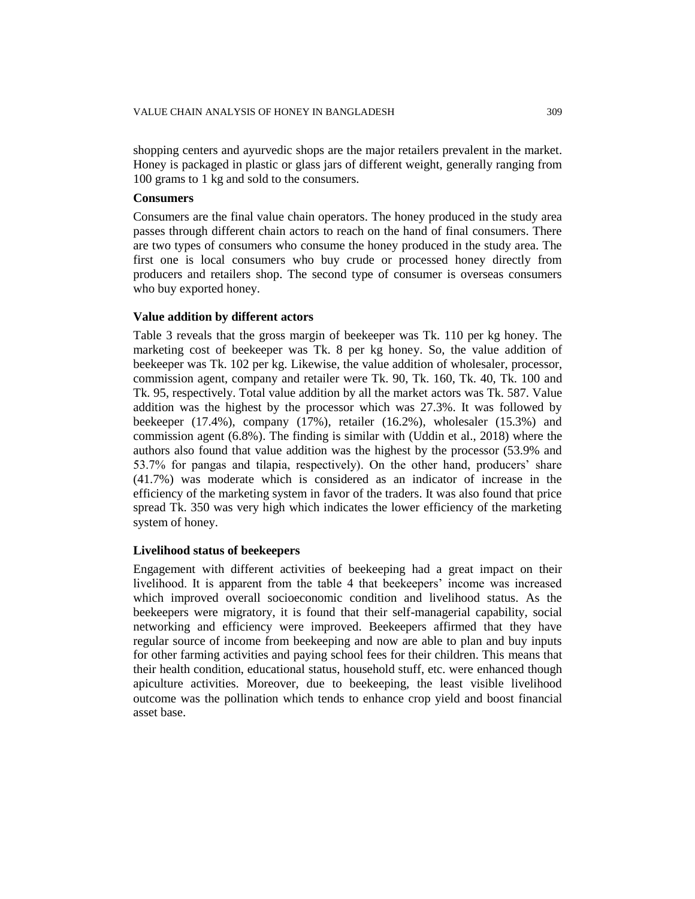shopping centers and ayurvedic shops are the major retailers prevalent in the market. Honey is packaged in plastic or glass jars of different weight, generally ranging from 100 grams to 1 kg and sold to the consumers.

#### **Consumers**

Consumers are the final value chain operators. The honey produced in the study area passes through different chain actors to reach on the hand of final consumers. There are two types of consumers who consume the honey produced in the study area. The first one is local consumers who buy crude or processed honey directly from producers and retailers shop. The second type of consumer is overseas consumers who buy exported honey.

#### **Value addition by different actors**

Table 3 reveals that the gross margin of beekeeper was Tk. 110 per kg honey. The marketing cost of beekeeper was Tk. 8 per kg honey. So, the value addition of beekeeper was Tk. 102 per kg. Likewise, the value addition of wholesaler, processor, commission agent, company and retailer were Tk. 90, Tk. 160, Tk. 40, Tk. 100 and Tk. 95, respectively. Total value addition by all the market actors was Tk. 587. Value addition was the highest by the processor which was 27.3%. It was followed by beekeeper (17.4%), company (17%), retailer (16.2%), wholesaler (15.3%) and commission agent (6.8%). The finding is similar with (Uddin et al., 2018) where the authors also found that value addition was the highest by the processor (53.9% and 53.7% for pangas and tilapia, respectively). On the other hand, producers' share (41.7%) was moderate which is considered as an indicator of increase in the efficiency of the marketing system in favor of the traders. It was also found that price spread Tk. 350 was very high which indicates the lower efficiency of the marketing system of honey.

#### **Livelihood status of beekeepers**

Engagement with different activities of beekeeping had a great impact on their livelihood. It is apparent from the table 4 that beekeepers' income was increased which improved overall socioeconomic condition and livelihood status. As the beekeepers were migratory, it is found that their self-managerial capability, social networking and efficiency were improved. Beekeepers affirmed that they have regular source of income from beekeeping and now are able to plan and buy inputs for other farming activities and paying school fees for their children. This means that their health condition, educational status, household stuff, etc. were enhanced though apiculture activities. Moreover, due to beekeeping, the least visible livelihood outcome was the pollination which tends to enhance crop yield and boost financial asset base.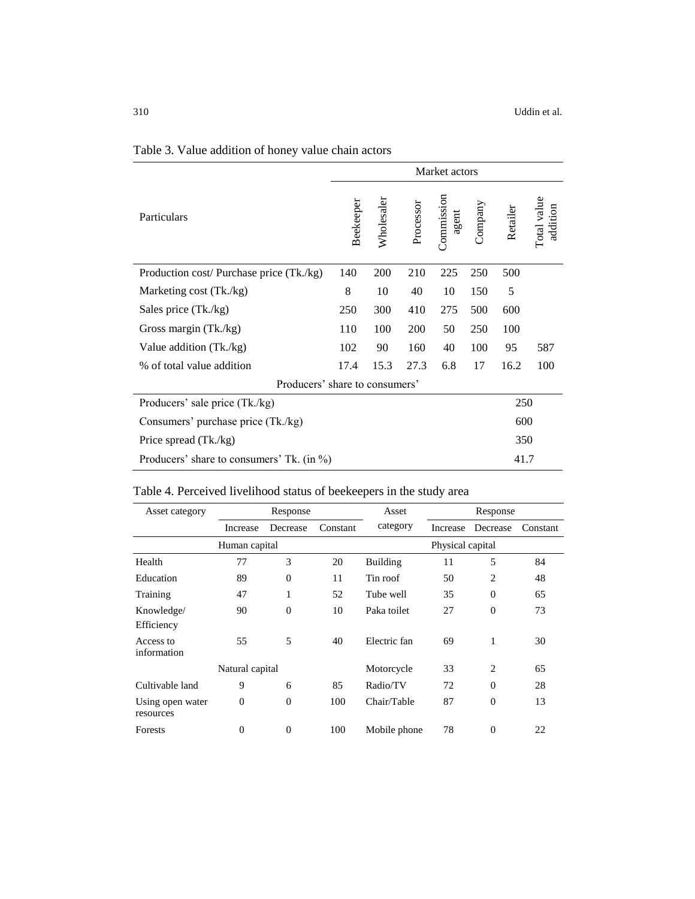|                                           | Market actors |            |            |                            |         |          |                         |
|-------------------------------------------|---------------|------------|------------|----------------------------|---------|----------|-------------------------|
| Particulars                               | Beekeeper     | Wholesaler | Processor  | <b>Commission</b><br>agent | Company | Retailer | Total value<br>addition |
| Production cost/ Purchase price (Tk./kg)  | 140           | 200        | 210        | 225                        | 250     | 500      |                         |
| Marketing cost (Tk./kg)                   | 8             | 10         | 40         | 10                         | 150     | 5        |                         |
| Sales price (Tk./kg)                      | 250           | 300        | 410        | 275                        | 500     | 600      |                         |
| Gross margin (Tk./kg)                     | 110           | 100        | <b>200</b> | 50                         | 250     | 100      |                         |
| Value addition (Tk./kg)                   | 102           | 90         | 160        | 40                         | 100     | 95       | 587                     |
| % of total value addition                 | 17.4          | 15.3       | 27.3       | 6.8                        | 17      | 16.2     | 100                     |
| Producers' share to consumers'            |               |            |            |                            |         |          |                         |
| Producers' sale price (Tk./kg)            |               |            |            |                            |         | 250      |                         |
| Consumers' purchase price (Tk./kg)        |               |            |            |                            |         | 600      |                         |
| Price spread (Tk./kg)                     |               |            |            |                            |         | 350      |                         |
| Producers' share to consumers' Tk. (in %) |               |            |            |                            |         | 41.7     |                         |

# Table 3. Value addition of honey value chain actors

# Table 4. Perceived livelihood status of beekeepers in the study area

| Response<br>Asset category    |                 |              | Asset            |                 | Response |                |          |
|-------------------------------|-----------------|--------------|------------------|-----------------|----------|----------------|----------|
|                               | Increase        | Decrease     | Constant         | category        | Increase | Decrease       | Constant |
| Human capital                 |                 |              | Physical capital |                 |          |                |          |
| Health                        | 77              | 3            | 20               | <b>Building</b> | 11       | 5              | 84       |
| Education                     | 89              | $\mathbf{0}$ | 11               | Tin roof        | 50       | $\overline{c}$ | 48       |
| Training                      | 47              | 1            | 52               | Tube well       | 35       | $\Omega$       | 65       |
| Knowledge/<br>Efficiency      | 90              | $\mathbf{0}$ | 10               | Paka toilet     | 27       | $\overline{0}$ | 73       |
| Access to<br>information      | 55              | 5            | 40               | Electric fan    | 69       | 1              | 30       |
|                               | Natural capital |              |                  | Motorcycle      | 33       | $\overline{c}$ | 65       |
| Cultivable land               | 9               | 6            | 85               | Radio/TV        | 72       | $\theta$       | 28       |
| Using open water<br>resources | $\overline{0}$  | $\mathbf{0}$ | 100              | Chair/Table     | 87       | $\overline{0}$ | 13       |
| Forests                       | $\Omega$        | $\mathbf{0}$ | 100              | Mobile phone    | 78       | $\theta$       | 22       |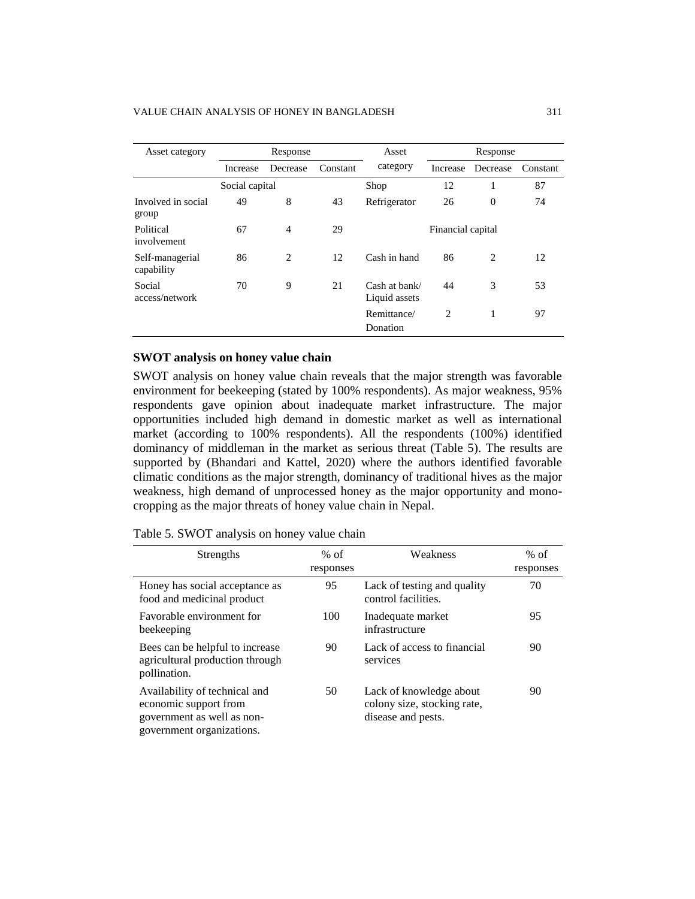#### VALUE CHAIN ANALYSIS OF HONEY IN BANGLADESH 311

| Asset category<br>Response    |          | Asset          | Response |                                |                   |          |          |
|-------------------------------|----------|----------------|----------|--------------------------------|-------------------|----------|----------|
|                               | Increase | Decrease       | Constant | category                       | Increase          | Decrease | Constant |
|                               |          | Social capital |          | Shop                           | 12                |          | 87       |
| Involved in social<br>group   | 49       | 8              | 43       | Refrigerator                   | 26                | $\theta$ | 74       |
| Political<br>involvement      | 67       | $\overline{4}$ | 29       |                                | Financial capital |          |          |
| Self-managerial<br>capability | 86       | 2              | 12       | Cash in hand                   | 86                | 2        | 12       |
| Social<br>access/network      | 70       | 9              | 21       | Cash at bank/<br>Liquid assets | 44                | 3        | 53       |
|                               |          |                |          | Remittance/<br>Donation        | $\overline{c}$    | 1        | 97       |

### **SWOT analysis on honey value chain**

SWOT analysis on honey value chain reveals that the major strength was favorable environment for beekeeping (stated by 100% respondents). As major weakness, 95% respondents gave opinion about inadequate market infrastructure. The major opportunities included high demand in domestic market as well as international market (according to 100% respondents). All the respondents (100%) identified dominancy of middleman in the market as serious threat (Table 5). The results are supported by (Bhandari and Kattel, 2020) where the authors identified favorable climatic conditions as the major strength, dominancy of traditional hives as the major weakness, high demand of unprocessed honey as the major opportunity and monocropping as the major threats of honey value chain in Nepal.

| Strengths                                                                                                         | $%$ of<br>responses | Weakness                                                                     | $%$ of<br>responses |
|-------------------------------------------------------------------------------------------------------------------|---------------------|------------------------------------------------------------------------------|---------------------|
| Honey has social acceptance as<br>food and medicinal product                                                      | 95                  | Lack of testing and quality<br>control facilities.                           | 70                  |
| Favorable environment for<br>beekeeping                                                                           | 100                 | Inadequate market<br>infrastructure                                          | 95                  |
| Bees can be helpful to increase<br>agricultural production through<br>pollination.                                | 90                  | Lack of access to financial<br>services                                      | 90                  |
| Availability of technical and<br>economic support from<br>government as well as non-<br>government organizations. | 50                  | Lack of knowledge about<br>colony size, stocking rate,<br>disease and pests. | 90                  |

| Table 5. SWOT analysis on honey value chain |  |  |
|---------------------------------------------|--|--|
|                                             |  |  |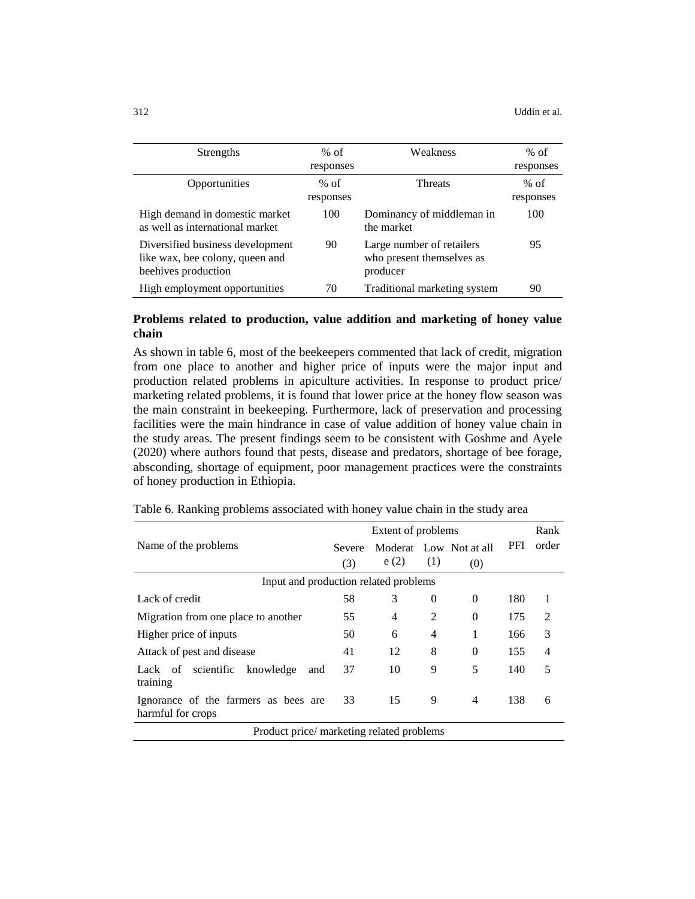| Strengths                                                                                  | $%$ of    | Weakness                                                           | $%$ of    |
|--------------------------------------------------------------------------------------------|-----------|--------------------------------------------------------------------|-----------|
|                                                                                            | responses |                                                                    | responses |
| Opportunities                                                                              | $%$ of    | <b>Threats</b>                                                     | $%$ of    |
|                                                                                            | responses |                                                                    | responses |
| High demand in domestic market                                                             | 100       | Dominancy of middleman in                                          | 100       |
| as well as international market                                                            |           | the market                                                         |           |
| Diversified business development<br>like wax, bee colony, queen and<br>beehives production | 90        | Large number of retailers<br>who present themselves as<br>producer | 95        |
| High employment opportunities                                                              | 70        | Traditional marketing system                                       | 90        |

## **Problems related to production, value addition and marketing of honey value chain**

As shown in table 6, most of the beekeepers commented that lack of credit, migration from one place to another and higher price of inputs were the major input and production related problems in apiculture activities. In response to product price/ marketing related problems, it is found that lower price at the honey flow season was the main constraint in beekeeping. Furthermore, lack of preservation and processing facilities were the main hindrance in case of value addition of honey value chain in the study areas. The present findings seem to be consistent with Goshme and Ayele (2020) where authors found that pests, disease and predators, shortage of bee forage, absconding, shortage of equipment, poor management practices were the constraints of honey production in Ethiopia.

|                                                           |               |      | Rank           |                        |            |       |  |  |  |
|-----------------------------------------------------------|---------------|------|----------------|------------------------|------------|-------|--|--|--|
| Name of the problems                                      | <b>Severe</b> |      |                | Moderat Low Not at all | <b>PFI</b> | order |  |  |  |
|                                                           | (3)           | e(2) | (1)            | (0)                    |            |       |  |  |  |
| Input and production related problems                     |               |      |                |                        |            |       |  |  |  |
| Lack of credit                                            | 58            | 3    | $\theta$       | $\theta$               | 180        |       |  |  |  |
| Migration from one place to another                       | 55            | 4    | $\overline{2}$ | $\theta$               | 175        | 2     |  |  |  |
| Higher price of inputs                                    | 50            | 6    | $\overline{4}$ | 1                      | 166        | 3     |  |  |  |
| Attack of pest and disease                                | 41            | 12   | 8              | $\theta$               | 155        | 4     |  |  |  |
| Lack of scientific knowledge<br>and<br>training           | 37            | 10   | 9              | 5                      | 140        | 5     |  |  |  |
| Ignorance of the farmers as bees are<br>harmful for crops | 33            | 15   | 9              | $\overline{4}$         | 138        | 6     |  |  |  |
| Product price/ marketing related problems                 |               |      |                |                        |            |       |  |  |  |

Table 6. Ranking problems associated with honey value chain in the study area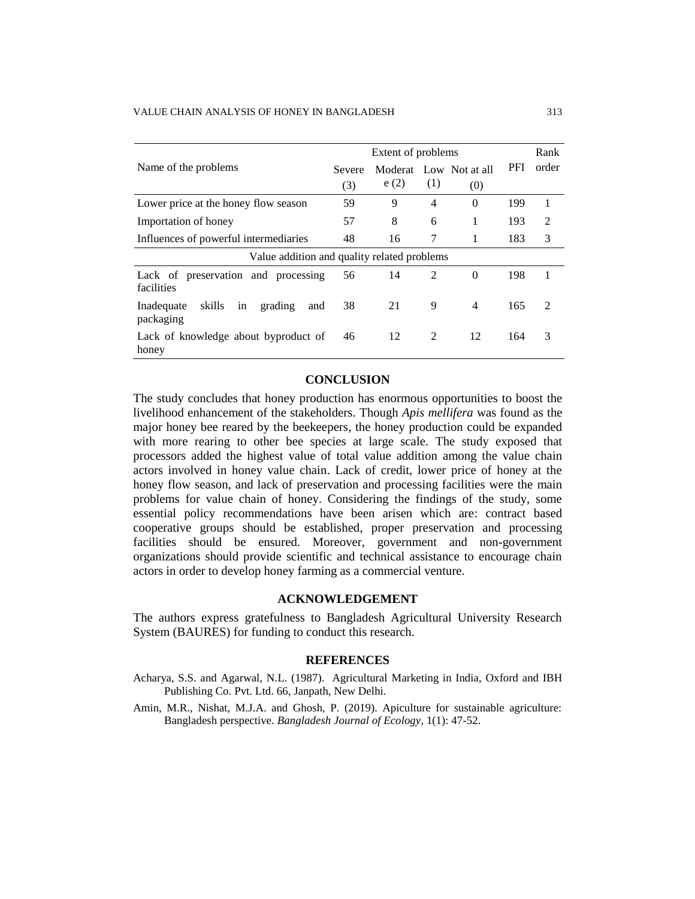|                                                           | Extent of problems |      |                |                               |      | Rank           |
|-----------------------------------------------------------|--------------------|------|----------------|-------------------------------|------|----------------|
| Name of the problems                                      | Severe<br>(3)      | e(2) | (1)            | Moderat Low Not at all<br>(0) | PFI. | order          |
| Lower price at the honey flow season                      | 59                 | 9    | $\overline{4}$ | $\Omega$                      | 199  | 1              |
| Importation of honey                                      | 57                 | 8    | 6              | 1                             | 193  | $\overline{2}$ |
| Influences of powerful intermediaries                     | 48                 | 16   | 7              | 1                             | 183  | 3              |
| Value addition and quality related problems               |                    |      |                |                               |      |                |
| Lack of preservation and processing<br>facilities         | 56                 | 14   | $\mathfrak{D}$ | $\Omega$                      | 198  | 1              |
| skills<br>grading<br>in<br>Inadequate<br>and<br>packaging | 38                 | 21   | 9              | 4                             | 165  | $\mathfrak{D}$ |
| Lack of knowledge about byproduct of<br>honey             | 46                 | 12   | 2              | 12                            | 164  | 3              |

#### **CONCLUSION**

The study concludes that honey production has enormous opportunities to boost the livelihood enhancement of the stakeholders. Though *Apis mellifera* was found as the major honey bee reared by the beekeepers, the honey production could be expanded with more rearing to other bee species at large scale. The study exposed that processors added the highest value of total value addition among the value chain actors involved in honey value chain. Lack of credit, lower price of honey at the honey flow season, and lack of preservation and processing facilities were the main problems for value chain of honey. Considering the findings of the study, some essential policy recommendations have been arisen which are: contract based cooperative groups should be established, proper preservation and processing facilities should be ensured. Moreover, government and non-government organizations should provide scientific and technical assistance to encourage chain actors in order to develop honey farming as a commercial venture.

#### **ACKNOWLEDGEMENT**

The authors express gratefulness to Bangladesh Agricultural University Research System (BAURES) for funding to conduct this research.

#### **REFERENCES**

- Acharya, S.S. and Agarwal, N.L. (1987). Agricultural Marketing in India, Oxford and IBH Publishing Co. Pvt. Ltd. 66, Janpath, New Delhi.
- Amin, M.R., Nishat, M.J.A. and Ghosh, P. (2019). Apiculture for sustainable agriculture: Bangladesh perspective. *Bangladesh Journal of Ecology*, 1(1): 47-52.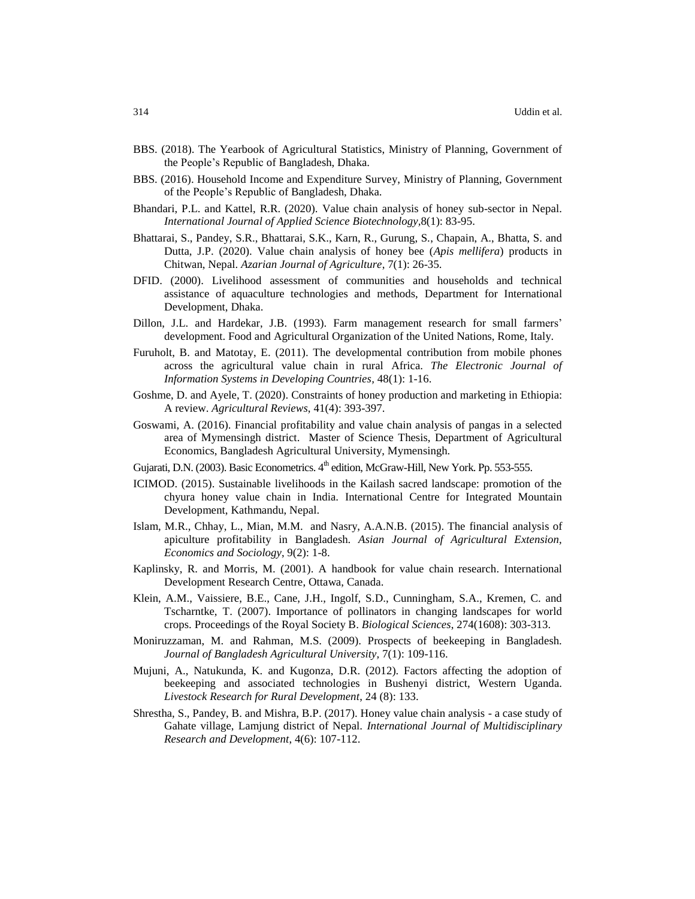- BBS. (2018). The Yearbook of Agricultural Statistics, Ministry of Planning, Government of the People's Republic of Bangladesh, Dhaka.
- BBS. (2016). Household Income and Expenditure Survey, Ministry of Planning, Government of the People's Republic of Bangladesh, Dhaka.
- Bhandari, P.L. and Kattel, R.R. (2020). Value chain analysis of honey sub-sector in Nepal. *International Journal of Applied Science Biotechnology,*8(1): 83-95.
- Bhattarai, S., Pandey, S.R., Bhattarai, S.K., Karn, R., Gurung, S., Chapain, A., Bhatta, S. and Dutta, J.P. (2020). Value chain analysis of honey bee (*Apis mellifera*) products in Chitwan, Nepal. *[Azarian Journal of Agriculture](http://azarianjournals.ir/)*, 7(1): 26-35.
- DFID. (2000). Livelihood assessment of communities and households and technical assistance of aquaculture technologies and methods, Department for International Development, Dhaka.
- Dillon, J.L. and Hardekar, J.B. (1993). Farm management research for small farmers' development. Food and Agricultural Organization of the United Nations, Rome, Italy.
- Furuholt, B. and Matotay, E. (2011). The developmental contribution from mobile phones across the agricultural value chain in rural Africa. *The Electronic Journal of Information Systems in Developing Countries,* 48(1): 1-16.
- Goshme, D. and Ayele, T. (2020). Constraints of honey production and marketing in Ethiopia: A review. *Agricultural Reviews*, 41(4): 393-397.
- Goswami, A. (2016). Financial profitability and value chain analysis of pangas in a selected area of Mymensingh district. Master of Science Thesis, Department of Agricultural Economics, Bangladesh Agricultural University, Mymensingh.
- Gujarati, D.N. (2003). Basic Econometrics. 4<sup>th</sup> edition, McGraw-Hill, New York. Pp. 553-555.
- ICIMOD. (2015). Sustainable livelihoods in the Kailash sacred landscape: promotion of the chyura honey value chain in India. International Centre for Integrated Mountain Development, Kathmandu, Nepal.
- Islam, M.R., Chhay, L., Mian, M.M. and Nasry, A.A.N.B. (2015). The financial analysis of apiculture profitability in Bangladesh. *Asian Journal of Agricultural Extension, Economics and Sociology*, 9(2): 1-8.
- Kaplinsky, R. and Morris, M. (2001). A handbook for value chain research. International Development Research Centre, Ottawa, Canada.
- Klein, A.M., Vaissiere, B.E., Cane, J.H., Ingolf, S.D., Cunningham, S.A., Kremen, C. and Tscharntke, T. (2007). Importance of pollinators in changing landscapes for world crops. Proceedings of the Royal Society B. *Biological Sciences*, 274(1608): 303-313.
- Moniruzzaman, M. and Rahman, M.S. (2009). Prospects of beekeeping in Bangladesh. *Journal of Bangladesh Agricultural University,* 7(1): 109-116.
- Mujuni, A., Natukunda, K. and Kugonza, D.R. (2012). Factors affecting the adoption of beekeeping and associated technologies in Bushenyi district, Western Uganda. *Livestock Research for Rural Development*, 24 (8): 133.
- Shrestha, S., Pandey, B. and Mishra, B.P. (2017). Honey value chain analysis a case study of Gahate village, Lamjung district of Nepal. *International Journal of Multidisciplinary Research and Development*, 4(6): 107-112.